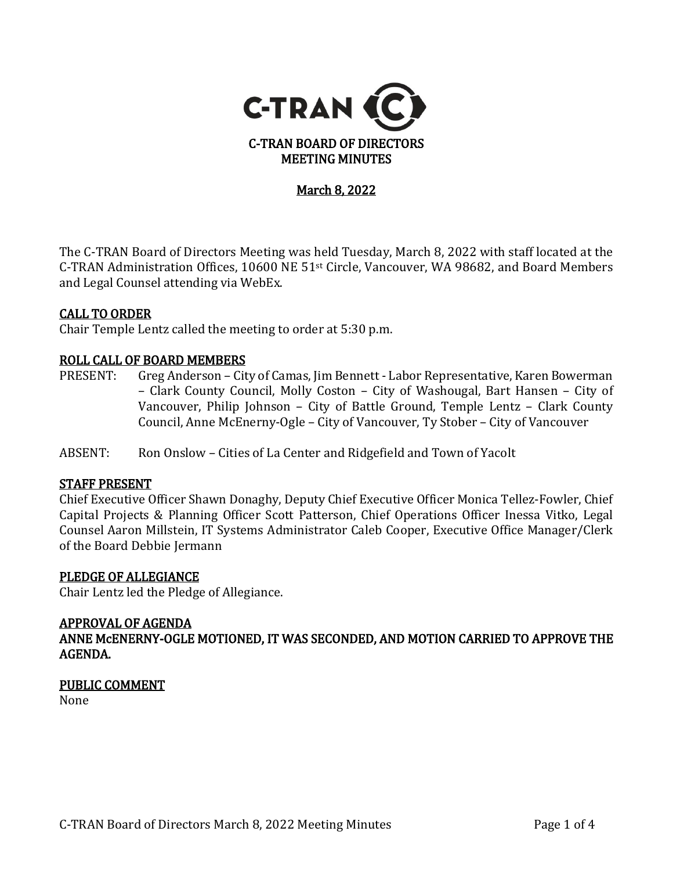

# <u>March 8, 2022</u>

The C-TRAN Board of Directors Meeting was held Tuesday, March 8, 2022 with staff located at the C-TRAN Administration Offices, 10600 NE 51st Circle, Vancouver, WA 98682, and Board Members and Legal Counsel attending via WebEx.

#### CALL TO ORDER

Chair Temple Lentz called the meeting to order at 5:30 p.m.

# **ROLL CALL OF BOARD MEMBERS**<br>PRESENT: Greg Anderson - Cit

- Greg Anderson City of Camas, Jim Bennett Labor Representative, Karen Bowerman – Clark County Council, Molly Coston – City of Washougal, Bart Hansen – City of Vancouver, Philip Johnson – City of Battle Ground, Temple Lentz – Clark County Council, Anne McEnerny-Ogle – City of Vancouver, Ty Stober – City of Vancouver
- ABSENT: Ron Onslow Cities of La Center and Ridgefield and Town of Yacolt

#### STAFF PRESENT

Chief Executive Officer Shawn Donaghy, Deputy Chief Executive Officer Monica Tellez-Fowler, Chief Capital Projects & Planning Officer Scott Patterson, Chief Operations Officer Inessa Vitko, Legal Counsel Aaron Millstein, IT Systems Administrator Caleb Cooper, Executive Office Manager/Clerk of the Board Debbie Jermann

## PLEDGE OF ALLEGIANCE

Chair Lentz led the Pledge of Allegiance.

### APPROVAL OF AGENDA

ANNE McENERNY-OGLE MOTIONED, IT WAS SECONDED, AND MOTION CARRIED TO APPROVE THE AGENDA.

#### PUBLIC COMMENT

None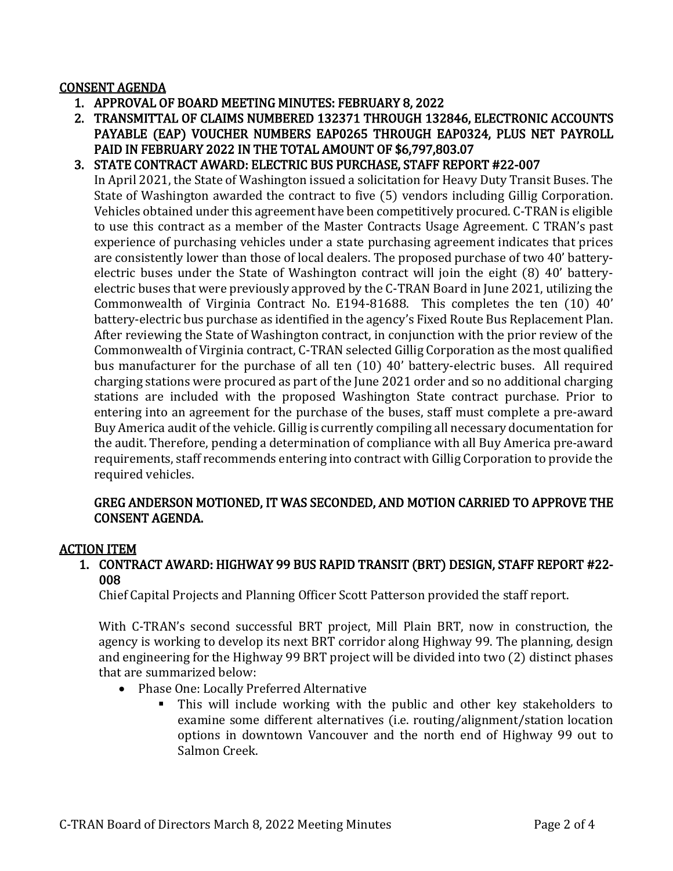#### CONSENT AGENDA

- 1. APPROVAL OF BOARD MEETING MINUTES: FEBRUARY 8, 2022
- 2. TRANSMITTAL OF CLAIMS NUMBERED 132371 THROUGH 132846, ELECTRONIC ACCOUNTS PAYABLE (EAP) VOUCHER NUMBERS EAP0265 THROUGH EAP0324, PLUS NET PAYROLL PAID IN FEBRUARY 2022 IN THE TOTAL AMOUNT OF \$6,797,803.07
- 3. STATE CONTRACT AWARD: ELECTRIC BUS PURCHASE, STAFF REPORT #22-007

In April 2021, the State of Washington issued a solicitation for Heavy Duty Transit Buses. The State of Washington awarded the contract to five (5) vendors including Gillig Corporation. Vehicles obtained under this agreement have been competitively procured. C-TRAN is eligible to use this contract as a member of the Master Contracts Usage Agreement. C TRAN's past experience of purchasing vehicles under a state purchasing agreement indicates that prices are consistently lower than those of local dealers. The proposed purchase of two 40' batteryelectric buses under the State of Washington contract will join the eight (8) 40' batteryelectric buses that were previously approved by the C-TRAN Board in June 2021, utilizing the Commonwealth of Virginia Contract No. E194-81688. This completes the ten (10) 40' battery-electric bus purchase as identified in the agency's Fixed Route Bus Replacement Plan. After reviewing the State of Washington contract, in conjunction with the prior review of the Commonwealth of Virginia contract, C-TRAN selected Gillig Corporation as the most qualified bus manufacturer for the purchase of all ten (10) 40' battery-electric buses. All required charging stations were procured as part of the June 2021 order and so no additional charging stations are included with the proposed Washington State contract purchase. Prior to entering into an agreement for the purchase of the buses, staff must complete a pre-award Buy America audit of the vehicle. Gillig is currently compiling all necessary documentation for the audit. Therefore, pending a determination of compliance with all Buy America pre-award requirements, staff recommends entering into contract with Gillig Corporation to provide the required vehicles.

#### GREG ANDERSON MOTIONED, IT WAS SECONDED, AND MOTION CARRIED TO APPROVE THE CONSENT AGENDA.

#### ACTION ITEM

1. CONTRACT AWARD: HIGHWAY 99 BUS RAPID TRANSIT (BRT) DESIGN, STAFF REPORT #22- 008

Chief Capital Projects and Planning Officer Scott Patterson provided the staff report.

With C-TRAN's second successful BRT project, Mill Plain BRT, now in construction, the agency is working to develop its next BRT corridor along Highway 99. The planning, design and engineering for the Highway 99 BRT project will be divided into two (2) distinct phases that are summarized below:

- Phase One: Locally Preferred Alternative
	- This will include working with the public and other key stakeholders to examine some different alternatives (i.e. routing/alignment/station location options in downtown Vancouver and the north end of Highway 99 out to Salmon Creek.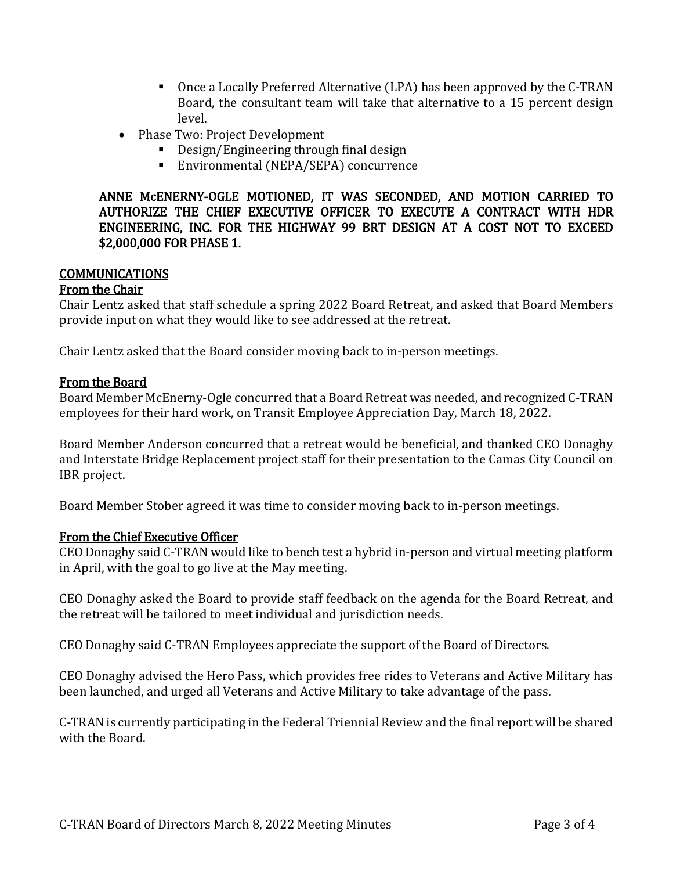- Once a Locally Preferred Alternative (LPA) has been approved by the C-TRAN Board, the consultant team will take that alternative to a 15 percent design level.
- Phase Two: Project Development
	- **Design/Engineering through final design**
	- Environmental (NEPA/SEPA) concurrence

ANNE McENERNY-OGLE MOTIONED, IT WAS SECONDED, AND MOTION CARRIED TO AUTHORIZE THE CHIEF EXECUTIVE OFFICER TO EXECUTE A CONTRACT WITH HDR ENGINEERING, INC. FOR THE HIGHWAY 99 BRT DESIGN AT A COST NOT TO EXCEED \$2,000,000 FOR PHASE 1.

#### COMMUNICATIONS

#### From the Chair

Chair Lentz asked that staff schedule a spring 2022 Board Retreat, and asked that Board Members provide input on what they would like to see addressed at the retreat.

Chair Lentz asked that the Board consider moving back to in-person meetings.

#### From the Board

Board Member McEnerny-Ogle concurred that a Board Retreat was needed, and recognized C-TRAN employees for their hard work, on Transit Employee Appreciation Day, March 18, 2022.

Board Member Anderson concurred that a retreat would be beneficial, and thanked CEO Donaghy and Interstate Bridge Replacement project staff for their presentation to the Camas City Council on IBR project.

Board Member Stober agreed it was time to consider moving back to in-person meetings.

#### From the Chief Executive Officer

CEO Donaghy said C-TRAN would like to bench test a hybrid in-person and virtual meeting platform in April, with the goal to go live at the May meeting.

CEO Donaghy asked the Board to provide staff feedback on the agenda for the Board Retreat, and the retreat will be tailored to meet individual and jurisdiction needs.

CEO Donaghy said C-TRAN Employees appreciate the support of the Board of Directors.

CEO Donaghy advised the Hero Pass, which provides free rides to Veterans and Active Military has been launched, and urged all Veterans and Active Military to take advantage of the pass.

C-TRAN is currently participating in the Federal Triennial Review and the final report will be shared with the Board.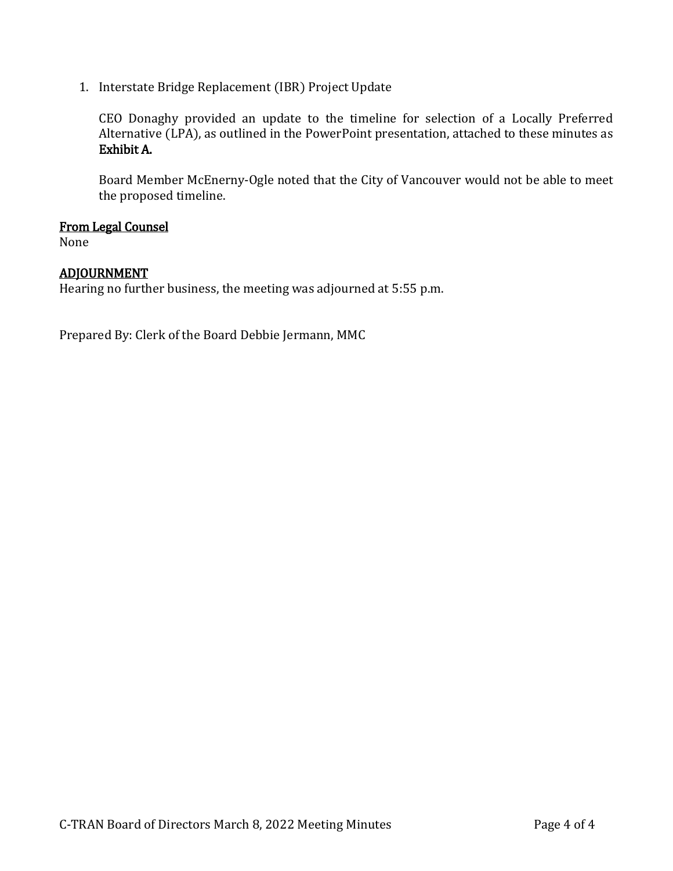1. Interstate Bridge Replacement (IBR) Project Update

CEO Donaghy provided an update to the timeline for selection of a Locally Preferred Alternative (LPA), as outlined in the PowerPoint presentation, attached to these minutes as Exhibit A.

Board Member McEnerny-Ogle noted that the City of Vancouver would not be able to meet the proposed timeline.

#### From Legal Counsel

None

#### ADJOURNMENT

Hearing no further business, the meeting was adjourned at 5:55 p.m.

Prepared By: Clerk of the Board Debbie Jermann, MMC